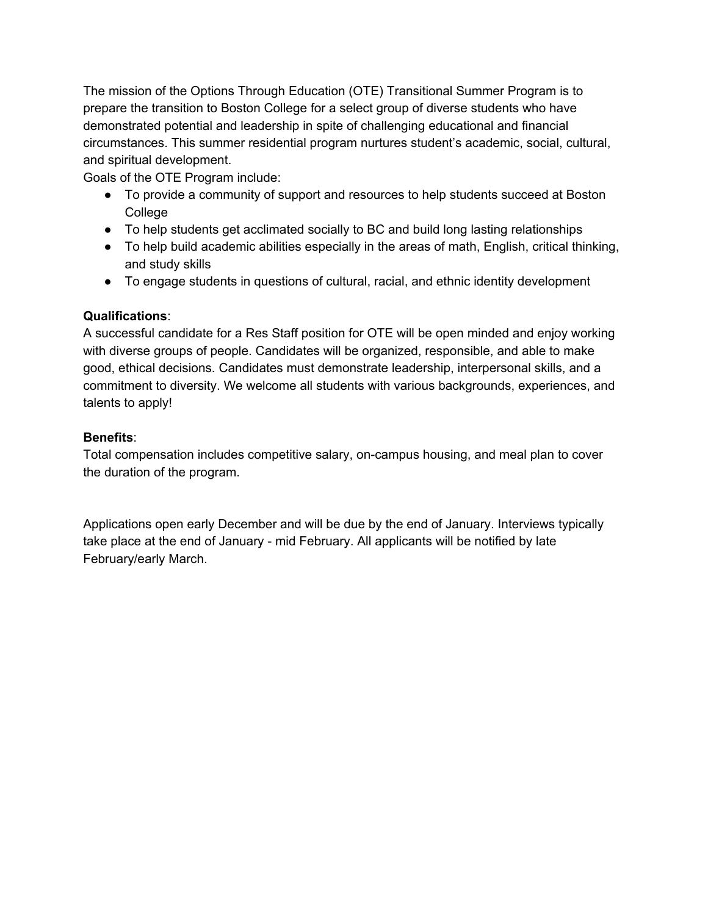The mission of the Options Through Education (OTE) Transitional Summer Program is to prepare the transition to Boston College for a select group of diverse students who have demonstrated potential and leadership in spite of challenging educational and financial circumstances. This summer residential program nurtures student's academic, social, cultural, and spiritual development.

Goals of the OTE Program include:

- To provide a community of support and resources to help students succeed at Boston **College**
- To help students get acclimated socially to BC and build long lasting relationships
- To help build academic abilities especially in the areas of math, English, critical thinking, and study skills
- To engage students in questions of cultural, racial, and ethnic identity development

# **Qualifications**:

A successful candidate for a Res Staff position for OTE will be open minded and enjoy working with diverse groups of people. Candidates will be organized, responsible, and able to make good, ethical decisions. Candidates must demonstrate leadership, interpersonal skills, and a commitment to diversity. We welcome all students with various backgrounds, experiences, and talents to apply!

# **Benefits**:

Total compensation includes competitive salary, on-campus housing, and meal plan to cover the duration of the program.

Applications open early December and will be due by the end of January. Interviews typically take place at the end of January - mid February. All applicants will be notified by late February/early March.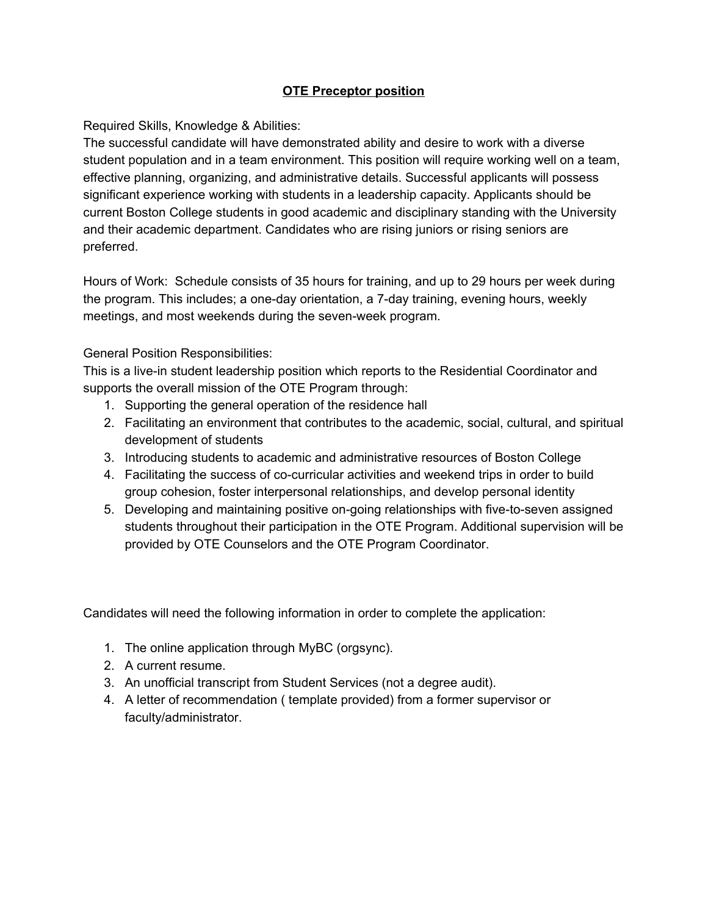### **OTE Preceptor position**

Required Skills, Knowledge & Abilities:

The successful candidate will have demonstrated ability and desire to work with a diverse student population and in a team environment. This position will require working well on a team, effective planning, organizing, and administrative details. Successful applicants will possess significant experience working with students in a leadership capacity. Applicants should be current Boston College students in good academic and disciplinary standing with the University and their academic department. Candidates who are rising juniors or rising seniors are preferred.

Hours of Work: Schedule consists of 35 hours for training, and up to 29 hours per week during the program. This includes; a one-day orientation, a 7-day training, evening hours, weekly meetings, and most weekends during the seven-week program.

General Position Responsibilities:

This is a live-in student leadership position which reports to the Residential Coordinator and supports the overall mission of the OTE Program through:

- 1. Supporting the general operation of the residence hall
- 2. Facilitating an environment that contributes to the academic, social, cultural, and spiritual development of students
- 3. Introducing students to academic and administrative resources of Boston College
- 4. Facilitating the success of co-curricular activities and weekend trips in order to build group cohesion, foster interpersonal relationships, and develop personal identity
- 5. Developing and maintaining positive on-going relationships with five-to-seven assigned students throughout their participation in the OTE Program. Additional supervision will be provided by OTE Counselors and the OTE Program Coordinator.

Candidates will need the following information in order to complete the application:

- 1. The online application through MyBC (orgsync).
- 2. A current resume.
- 3. An unofficial transcript from Student Services (not a degree audit).
- 4. A letter of recommendation ( template provided) from a former supervisor or faculty/administrator.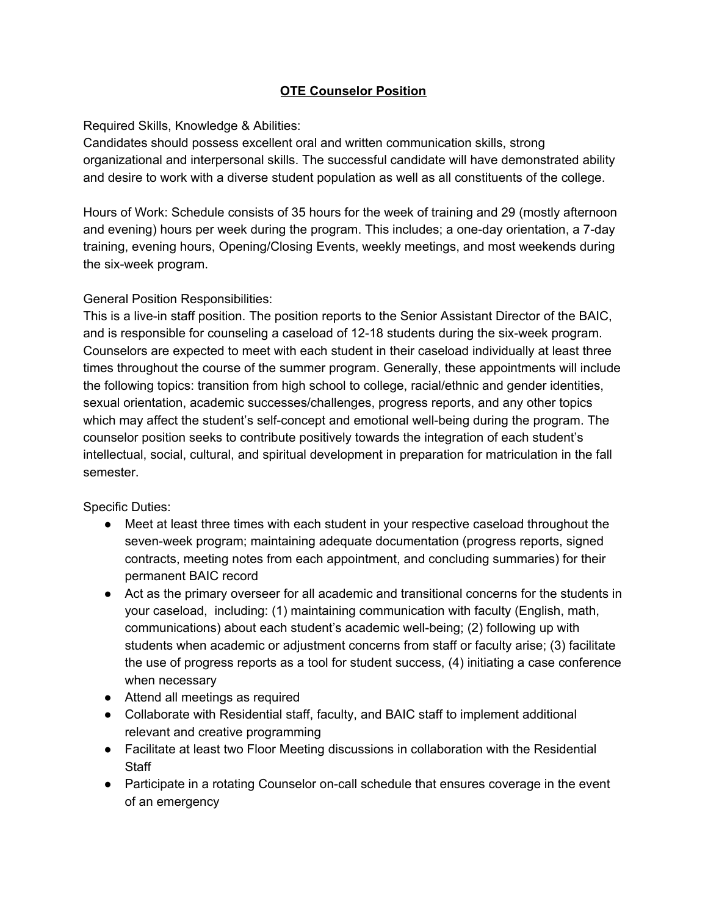# **OTE Counselor Position**

## Required Skills, Knowledge & Abilities:

Candidates should possess excellent oral and written communication skills, strong organizational and interpersonal skills. The successful candidate will have demonstrated ability and desire to work with a diverse student population as well as all constituents of the college.

Hours of Work: Schedule consists of 35 hours for the week of training and 29 (mostly afternoon and evening) hours per week during the program. This includes; a one-day orientation, a 7-day training, evening hours, Opening/Closing Events, weekly meetings, and most weekends during the six-week program.

# General Position Responsibilities:

This is a live-in staff position. The position reports to the Senior Assistant Director of the BAIC, and is responsible for counseling a caseload of 12-18 students during the six-week program. Counselors are expected to meet with each student in their caseload individually at least three times throughout the course of the summer program. Generally, these appointments will include the following topics: transition from high school to college, racial/ethnic and gender identities, sexual orientation, academic successes/challenges, progress reports, and any other topics which may affect the student's self-concept and emotional well-being during the program. The counselor position seeks to contribute positively towards the integration of each student's intellectual, social, cultural, and spiritual development in preparation for matriculation in the fall semester.

Specific Duties:

- Meet at least three times with each student in your respective caseload throughout the seven-week program; maintaining adequate documentation (progress reports, signed contracts, meeting notes from each appointment, and concluding summaries) for their permanent BAIC record
- Act as the primary overseer for all academic and transitional concerns for the students in your caseload, including: (1) maintaining communication with faculty (English, math, communications) about each student's academic well-being; (2) following up with students when academic or adjustment concerns from staff or faculty arise; (3) facilitate the use of progress reports as a tool for student success, (4) initiating a case conference when necessary
- Attend all meetings as required
- Collaborate with Residential staff, faculty, and BAIC staff to implement additional relevant and creative programming
- Facilitate at least two Floor Meeting discussions in collaboration with the Residential **Staff**
- Participate in a rotating Counselor on-call schedule that ensures coverage in the event of an emergency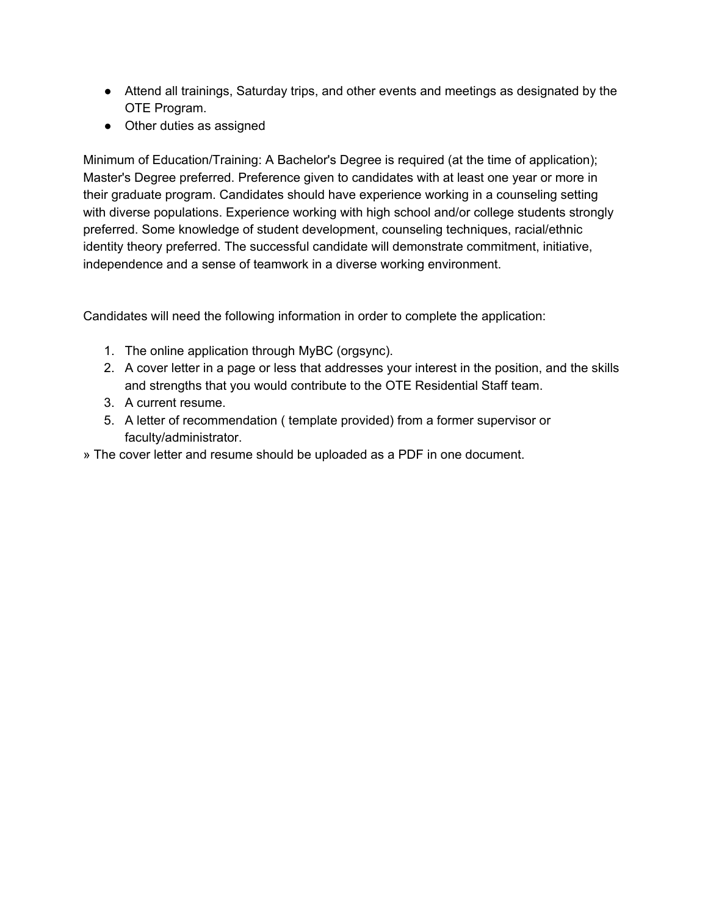- Attend all trainings, Saturday trips, and other events and meetings as designated by the OTE Program.
- Other duties as assigned

Minimum of Education/Training: A Bachelor's Degree is required (at the time of application); Master's Degree preferred. Preference given to candidates with at least one year or more in their graduate program. Candidates should have experience working in a counseling setting with diverse populations. Experience working with high school and/or college students strongly preferred. Some knowledge of student development, counseling techniques, racial/ethnic identity theory preferred. The successful candidate will demonstrate commitment, initiative, independence and a sense of teamwork in a diverse working environment.

Candidates will need the following information in order to complete the application:

- 1. The online application through MyBC (orgsync).
- 2. A cover letter in a page or less that addresses your interest in the position, and the skills and strengths that you would contribute to the OTE Residential Staff team.
- 3. A current resume.
- 5. A letter of recommendation ( template provided) from a former supervisor or faculty/administrator.
- » The cover letter and resume should be uploaded as a PDF in one document.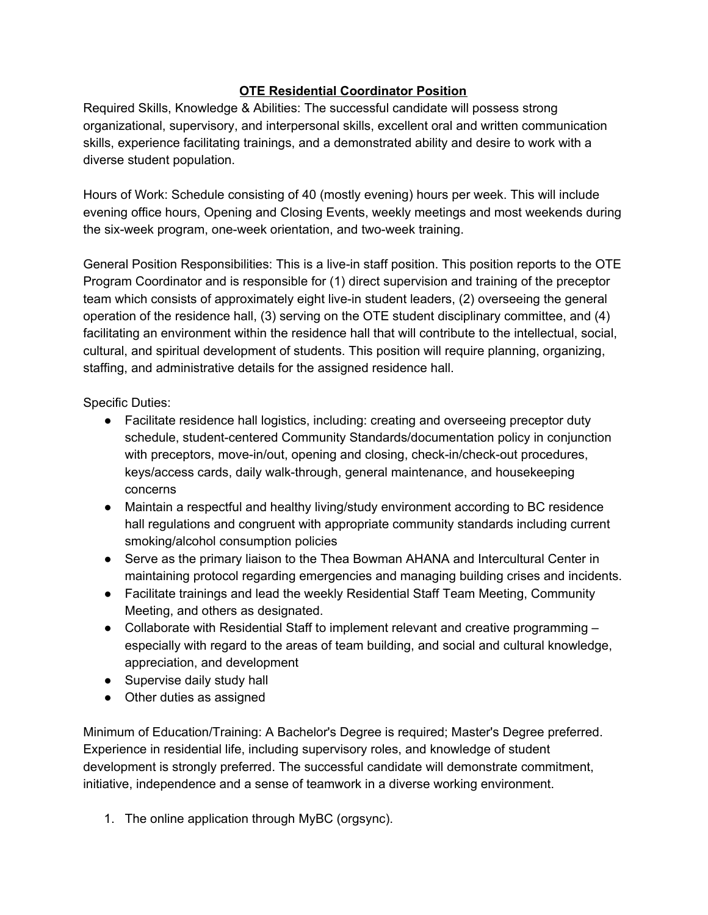# **OTE Residential Coordinator Position**

Required Skills, Knowledge & Abilities: The successful candidate will possess strong organizational, supervisory, and interpersonal skills, excellent oral and written communication skills, experience facilitating trainings, and a demonstrated ability and desire to work with a diverse student population.

Hours of Work: Schedule consisting of 40 (mostly evening) hours per week. This will include evening office hours, Opening and Closing Events, weekly meetings and most weekends during the six-week program, one-week orientation, and two-week training.

General Position Responsibilities: This is a live-in staff position. This position reports to the OTE Program Coordinator and is responsible for (1) direct supervision and training of the preceptor team which consists of approximately eight live-in student leaders, (2) overseeing the general operation of the residence hall, (3) serving on the OTE student disciplinary committee, and (4) facilitating an environment within the residence hall that will contribute to the intellectual, social, cultural, and spiritual development of students. This position will require planning, organizing, staffing, and administrative details for the assigned residence hall.

Specific Duties:

- Facilitate residence hall logistics, including: creating and overseeing preceptor duty schedule, student-centered Community Standards/documentation policy in conjunction with preceptors, move-in/out, opening and closing, check-in/check-out procedures, keys/access cards, daily walk-through, general maintenance, and housekeeping concerns
- Maintain a respectful and healthy living/study environment according to BC residence hall regulations and congruent with appropriate community standards including current smoking/alcohol consumption policies
- Serve as the primary liaison to the Thea Bowman AHANA and Intercultural Center in maintaining protocol regarding emergencies and managing building crises and incidents.
- Facilitate trainings and lead the weekly Residential Staff Team Meeting, Community Meeting, and others as designated.
- Collaborate with Residential Staff to implement relevant and creative programming especially with regard to the areas of team building, and social and cultural knowledge, appreciation, and development
- Supervise daily study hall
- Other duties as assigned

Minimum of Education/Training: A Bachelor's Degree is required; Master's Degree preferred. Experience in residential life, including supervisory roles, and knowledge of student development is strongly preferred. The successful candidate will demonstrate commitment, initiative, independence and a sense of teamwork in a diverse working environment.

1. The online application through MyBC (orgsync).